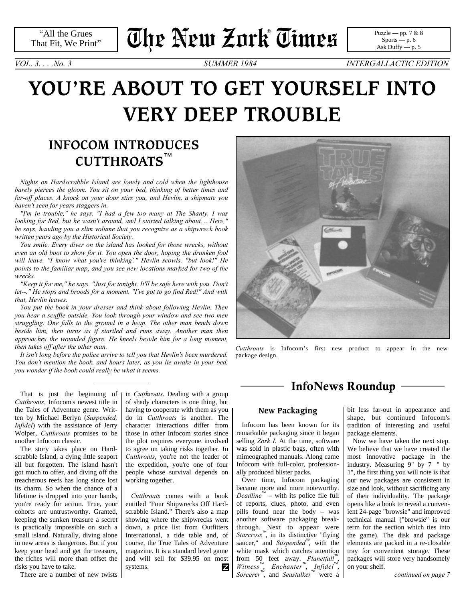"All the Grues That Fit, We Print"

# **The New Zork Times** ®

[Puzzle — pp. 7 & 8](#page-6-0)  $Sports - p. 6$ [Ask Duffy — p. 5](#page-4-0)

*VOL. 3. . . .No. 3 SUMMER 1984 INTERGALLACTIC EDITION*

# **YOU'RE ABOUT TO GET YOURSELF INTO VERY DEEP TROUBLE**

# **INFOCOM INTRODUCES CUTTHROATS**™

*Nights on Hardscrabble Island are lonely and cold when the lighthouse barely pierces the gloom. You sit on your bed, thinking of better times and far-off places. A knock on your door stirs you, and Hevlin, a shipmate you haven't seen for years staggers in.*

*"I'm in trouble," he says. "I had a few too many at The Shanty. I was looking for Red, but he wasn't around, and I started talking about.... Here," he says, handing you a slim volume that you recognize as a shipwreck book written years ago by the Historical Society.*

*You smile. Every diver on the island has looked for those wrecks, without even an old boot to show for it. You open the door, hoping the drunken fool will leave. "I know what you're thinking'," Hevlin scowls, "but look!" He points to the familiar map, and you see new locations marked for two of the wrecks.*

*"Keep it for me," he says. "Just for tonight. It'll be safe here with you. Don't let--." He stops and broods for a moment. "I've got to go find Red!" And with that, Hevlin leaves.*

*You put the book in your dresser and think about following Hevlin. Then you hear a scuffle outside. You look through your window and see two men struggling. One falls to the ground in a heap. The other man bends down beside him, then turns as if startled and runs away. Another man then approaches the wounded figure. He kneels beside him for a long moment, then takes off after the other man.*

*It isn't long before the police arrive to tell you that Hevlin's been murdered. You don't mention the book, and hours later, as you lie awake in your bed, you wonder if the book could really be what it seems.*

That is just the beginning of *Cutthroats*, Infocom's newest title in the Tales of Adventure genre. Written by Michael Berlyn (*Suspended, Infidel*) with the assistance of Jerry Wolper, *Cutthroats* promises to be another Infocom classic.

The story takes place on Hardscrabble Island, a dying little seaport all but forgotten. The island hasn't got much to offer, and diving off the treacherous reefs has long since lost its charm. So when the chance of a lifetime is dropped into your hands, you're ready for action. True, your cohorts are untrustworthy. Granted, keeping the sunken treasure a secret is practically impossible on such a small island. Naturally, diving alone in new areas is dangerous. But if you keep your head and get the treasure, the riches will more than offset the risks you have to take.

There are a number of new twists

in *Cutthroats*. Dealing with a group of shady characters is one thing, but having to cooperate with them as you do in *Cutthroats* is another. The character interactions differ from those in other Infocom stories since the plot requires everyone involved to agree on taking risks together. In *Cutthroats*, you're not the leader of the expedition, you're one of four people whose survival depends on working together.

*Cutthroats* comes with a book entitled "Four Shipwrecks Off Hardscrabble Island." There's also a map showing where the shipwrecks went down, a price list from Outfitters International, a tide table and, of course, the True Tales of Adventure magazine. It is a standard level game and will sell for \$39.95 on most systems. z



*Cutthroats* is Infocom's first new product to appear in the new package design.

## **InfoNews Roundup**

## **New Packaging**

Infocom has been known for its remarkable packaging since it began selling *Zork I*. At the time, software was sold in plastic bags, often with mimeographed manuals. Along came Infocom with full-color, professionally produced blister packs.

Over time, Infocom packaging became more and more noteworthy. *Deadline*™ – with its police file full of reports, clues, photo, and even pills found near the body – was another software packaging breakthrough. Next to appear were *Starcross*™, in its distinctive "flying saucer," and *Suspended*™, with the white mask which catches attention from 50 feet away. *Planetfall*<sup>™</sup>, *Witness*™, *Enchanter*™, *Infidel*™, *Sorcerer*™, and *Seastalker*™ were a

bit less far-out in appearance and shape, but continued Infocom's tradition of interesting and useful package elements.

<span id="page-0-0"></span>Now we have taken the next step. We believe that we have created the most innovative package in the industry. Measuring 9" by 7 " by 1", the first thing you will note is that our new packages are consistent in size and look, without sacrificing any of their individuality. The package opens like a book to reveal a convenient 24-page "browsie" and improved technical manual ("browsie" is our term for the section which ties into the game). The disk and package elements are packed in a re-closable tray for convenient storage. These packages will store very handsomely on your shelf.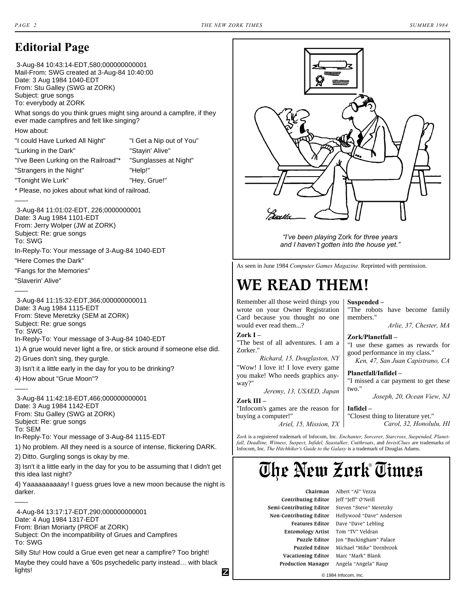## **Editorial Page**

 3-Aug-84 10:43:14-EDT,580;000000000001 Mail-From: SWG created at 3-Aug-84 10:40:00 Date: 3 Aug 1984 1040-EDT From: Stu Galley (SWG at ZORK) Subject: grue songs To: everybody at ZORK

What songs do you think grues might sing around a campfire, if they ever made campfires and felt like singing?

How about:

"I could Have Lurked All Night" "I Get a Nip out of You" "Lurking in the Dark" "Stayin' Alive" "I've Been Lurking on the Railroad"\* "Sunglasses at Night" "Strangers in the Night" "Help!"

"Tonight We Lurk" "Hey, Grue!"

\* Please, no jokes about what kind of railroad.

–––-

–––-

–––-

–––-

lights!

 3-Aug-84 11:01:02-EDT, 226;0000000001 Date: 3 Aug 1984 1101-EDT From: Jerry Wolper (JW at ZORK) Subject: Re: grue songs To: SWG In-Reply-To: Your message of 3-Aug-84 1040-EDT

"Here Comes the Dark"

"Fangs for the Memories"

"Slaverin' Alive"

 3-Aug-84 11:15:32-EDT,366;000000000011 Date: 3 Aug 1984 1115-EDT From: Steve Meretzky (SEM at ZORK) Subject: Re: grue songs To: SWG

In-Reply-To: Your message of 3-Aug-84 1040-EDT

- 1) A grue would never light a fire, or stick around if someone else did.
- 2) Grues don't sing, they gurgle.
- 3) Isn't it a little early in the day for you to be drinking?

4) How about "Grue Moon"?

 3-Aug-84 11:42:18-EDT,466;000000000001 Date: 3 Aug 1984 1142-EDT From: Stu Galley (SWG at ZORK) Subject: Re: grue songs To: SEM In-Reply-To: Your message of 3-Aug-84 1115-EDT

1) No problem. All they need is a source of intense, flickering DARK.

2) Ditto. Gurgling songs is okay by me.

3) Isn't it a little early in the day for you to be assuming that I didn't get this idea last night?

4) Yaaaaaaaaaay! I guess grues love a new moon because the night is darker.

 4-Aug-84 13:17:17-EDT,290;000000000001 Date: 4 Aug 1984 1317-EDT From: Brian Moriarty (PROF at ZORK) Subject: On the incompatibility of Grues and Campfires To: SWG

Silly Stu! How could a Grue even get near a campfire? Too bright!

Maybe they could have a '60s psychedelic party instead… with black Z



*"I've been playing* Zork *for three years and I haven't gotten into the house yet."*

As seen in June 1984 *Computer Games Magazine.* Reprinted with permission.

# **WE READ THEM!**

Remember all those weird things you wrote on your Owner Registration Card because you thought no one would ever read them...?

**Zork I –** "The best of all adventures. I am a Zorker."

*Richard, 15, Douglaston, NY* "Wow! I love it! I love every game you make! Who needs graphics anyway?"

*Jeremy, 13, USAED, Japan* **Zork III –**

"Infocom's games are the reason for buying a computer!" *Ariel, 15, Mission, TX* **Suspended –** "The robots have become family

members." *Arlie, 37, Chester, MA*

**Zork/Planetfall –** "I use these games as rewards for good performance in my class." *Ken, 47, San Juan Capistrano, CA*

**Planetfall/Infidel –** "I missed a car payment to get these two."

*Joseph, 20, Ocean View, NJ*

**Infidel –** "Closest thing to literature yet." *Carol, 32, Honolulu, HI*

*Zork* is a registered trademark of Infocom, Inc. *Enchanter, Sorcerer, Starcross, Suspended, Planetfall, Deadline, Witness, Suspect, Infidel, Seastalker, Cutthroats*, and *InvisiClues* are trademarks of Infocom, Inc. *The Hitchhiker's Guide to the Galaxy* is a trademark of Douglas Adams.

# **The New Zork Times** ®

 **Chairman** Albert "Al" Vezza **Contributing Editor** Jeff "Jeff" O'Neill  **Semi-Contributing Editor** Steven "Steve" Meretzky **Entomology Artist** Tom "TV" Veldran  **Vacationing Editor** Marc "Mark" Blank

 **Non-Contributing Editor** Hollywood "Dave" Anderson  **Features Editor** Dave "Dave" Lebling **Puzzle Editor** Jon "Buckingham" Palace  **Puzzled Editor** Michael "Mike" Dornbrook  **Production Manager** Angela "Angela" Raup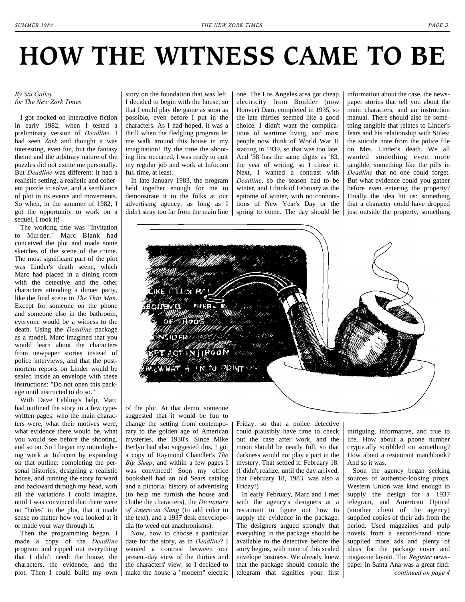# **HOW THE WITNESS CAME TO BE**

story on the foundation that was left. I decided to begin with the house, so that I could play the game as soon as possible, even before I put in the characters. As I had hoped, it was a thrill when the fledgling program let me walk around this house in my imagination! By the time the shooting first occurred, I was ready to quit my regular job and work at Infocom

In late January 1983, the program held together enough for me to demonstrate it to the folks at our advertising agency, as long as I didn't stray too far from the main line

full time, at least.

#### *By Stu Galley for The New Zork Times*

I got hooked on interactive fiction in early 1982, when I tested a preliminary version of *Deadline*. I had seen *Zork* and thought it was interesting, even fun, but the fantasy theme and the arbitrary nature of the puzzles did not excite me personally. But *Deadline* was different: it had a realistic setting, a realistic and coherent puzzle to solve, and a semblance of plot in its events and movements. So when, in the summer of 1982, I got the opportunity to work on a sequel, I took it!

The working title was "Invitation to Murder." Marc Blank had conceived the plot and made some sketches of the scene of the crime. The most significant part of the plot was Linder's death scene, which Marc had placed in a dining room with the detective and the other characters attending a dinner party, like the final scene in *The Thin Man*. Except for someone on the phone and someone else in the bathroom, everyone would be a witness to the death. Using the *Deadline* package as a model, Marc imagined that you would learn about the characters from newpaper stories instead of police interviews, and that the postmortem reports on Linder would be sealed inside an envelope with these instructions: "Do not open this package until instructed to do so."

With Dave Lebling's help, Marc had outlined the story in a few typewritten pages: who the main characters were, what their motives were, what evidence there would be, what you would see before the shooting, and so on. So I began my moonlighting work at Infocom by expanding on that outline: completing the personal histories, designing a realistic house, and running the story forward and backward through my head, with all the variations I could imagine, until I was convinced that there were no "holes" in the plot, that it made sense no matter how you looked at it or made your way through it.

Then the programming began. I made a copy of the *Deadline* program and ripped out everything that I didn't need: the house, the characters, the evidence, and the of the plot. At that demo, someone suggested that it would be fun to change the setting from contemporary to the golden age of American mysteries, the 1930's. Since Mike Berlyn had also suggested this, I got a copy of Raymond Chandler's *The Big Sleep*, and within a few pages I was convinced! Soon my office bookshelf had an old Sears catalog and a pictorial history of advertising (to help me furnish the house and clothe the characters), the *Dictionary of American Slang* (to add color to the text), and a 1937 desk encyclopedia (to weed out anachronisms).

plot. Then I could build my own | make the house a "modern" electric | telegram that signifies your first Now, how to choose a particular date for the story, as in *Deadline*? I wanted a contrast between our present-day view of the thirties and the characters' view, so I decided to

Friday, so that a police detective could plausibly have time to check out the case after work, and the moon should be nearly full, so that darkness would not play a part in the mystery. That settled it: February 18. (I didn't realize, until the day arrived, that February 18, 1983, was also a Friday!)

In early February, Marc and I met with the agency's designers at a restaurant to figure out how to supply the evidence in the package. The designers argued strongly that everything in the package should be available to the detective before the story begins, with none of this sealed envelope business. We already knew that the package should contain the <span id="page-2-0"></span>intriguing, informative, and true to life. How about a phone number cryptically scribbled on something? How about a restaurant matchbook? And so it was.

Soon the agency began seeking sources of authentic-looking props. Western Union was kind enough to supply the design for a 1937 telegram, and American Optical (another client of the agency) supplied copies of their ads from the period. Used magazines and pulp novels from a second-hand store supplied more ads and plenty of ideas for the package cover and magazine layout. The *Register* newspaper in Santa Ana was a great find: *[continued on page 4](#page-3-0)*

the late thirties seemed like a good choice. I didn't want the complications of wartime living, and most people now think of World War II starting in 1939, so that was too late. And '38 has the same digits as '83, the year of writing, so I chose it. Next, I wanted a contrast with *Deadline*, so the season had to be winter, and I think of February as the epitome of winter, with no connotations of New Year's Day or the spring to come. The day should be manual. There should also be something tangible that relates to Linder's fears and his relationship with Stiles: the suicide note from the police file on Mrs. Linder's death. We all wanted something even more tangible, something like the pills in *Deadline* that no one could forget. But what evidence could you gather before even entering the property? Finally the idea hit us: something that a character could have dropped just outside the property, something

information about the case, the newspaper stories that tell you about the main characters, and an instruction



one. The Los Angeles area got cheap electricity from Boulder (now Hoover) Dam, completed in 1935, so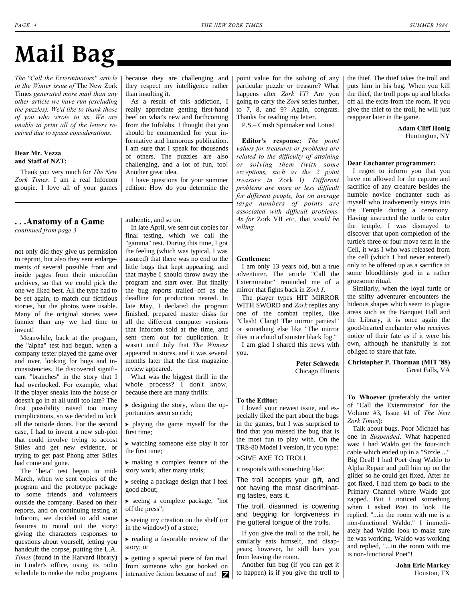# **Mail Bag**

*The "Call the Exterminators" article in the Winter issue of* The New Zork Times *generated more mail than any other article we have run (excluding the puzzles). We'd like to thank those of you who wrote to us. We are unable to print all of the letters received due to space considerations.*

#### **Dear Mr. Vezza and Staff of NZT:**

Thank you very much for *The New Zork Times*. I am a real Infocom groupie. I love all of your games edition: How do you determine the

because they are challenging and they respect my intelligence rather than insulting it.

As a result of this addiction, I really appreciate getting first-hand beef on what's new and forthcoming from the Infolabs. I thought that you should be commended for your informative and humorous publication. I am sure that I speak for thousands of others. The puzzles are also challenging, and a lot of fun, too! Another great idea.

I have questions for your summer

## <span id="page-3-0"></span>**. . .Anatomy of a Game** *[continued from page 3](#page-2-0)*

not only did they give us permission to reprint, but also they sent enlargements of several possible front and inside pages from their microfilm archives, so that we could pick the one we liked best. All the type had to be set again, to match our fictitious stories, but the photos were usable. Many of the original stories were funnier than any we had time to invent!

Meanwhile, back at the program, the "alpha" test had begun, when a company tester played the game over and over, looking for bugs and inconsistencies. He discovered significant "branches" in the story that I had overlooked. For example, what if the player sneaks into the house or doesn't go in at all until too late? The first possibility raised too many complications, so we decided to lock all the outside doors. For the second case, I had to invent a new sub-plot that could involve trying to accost Stiles and get new evidence, or trying to get past Phong after Stiles had come and gone.

The "beta" test began in mid-March, when we sent copies of the program and the prototype package to some friends and volunteers outside the company. Based on their reports, and on continuing testing at Infocom, we decided to add some features to round out the story: giving the characters responses to questions about yourself, letting you handcuff the corpse, putting the L.A. *Times* (found in the Harvard library) in Linder's office, using its radio schedule to make the radio programs

authentic, and so on.

In late April, we sent out copies for final testing, which we call the "gamma" test. During this time, I got the feeling (which was typical, I was assured) that there was no end to the little bugs that kept appearing, and that maybe I should throw away the program and start over. But finally the bug reports trailed off as the deadline for production neared. In late May, I declared the program finished, prepared master disks for all the different computer versions that Infocom sold at the time, and sent them out for duplication. It wasn't until July that *The Witness* appeared in stores, and it was several months later that the first magazine review appeared.

What was the biggest thrill in the whole process? I don't know, because there are many thrills:

 $\blacktriangleright$  designing the story, when the opportunities seem so rich;

? playing the game myself for the first time;

? watching someone else play it for the first time;

? making a complex feature of the story work, after many trials;

 $\blacktriangleright$  seeing a package design that I feel good about;

? seeing a complete package, "hot off the press";

? seeing my creation on the shelf (or in the window!) of a store;

 $\blacktriangleright$  reading a favorable review of the story; or

 $\rightarrow$  getting a special piece of fan mail from someone who got hooked on interactive fiction because of me! point value for the solving of any particular puzzle or treasure? What happens after *Zork VI*? Are you going to carry the *Zork* series further, to 7, 8, and 9? Again, congrats. Thanks for reading my letter.

P.S.– Crush Spinnaker and Lotus!

**Editor's response:** *The point values for treasures or problems are related to the difficulty of attaining or solving them (with some exceptions, such as the 2 point treasure in* Zork I*). Different problems are more or less difficult for different people, but on average large numbers of points are associated with difficult problems. As for* Zork VII *etc.,* that *would be telling.*

#### **Gentlemen:**

I am only 13 years old, but a true adventurer. The article "Call the Exterminator" reminded me of a mirror that fights back in *Zork I*.

The player types HIT MIRROR WITH SWORD and *Zork* replies any one of the combat replies, like "Clash! Clang! The mirror parries!" or something else like "The mirror dies in a cloud of sinister black fog." I am glad I shared this news with

you.

**Peter Schweda** Chicago Illinois

#### **To the Editor:**

I loved your newest issue, and especially liked the part about the bugs in the games, but I was surprised to find that you missed the bug that is the most fun to play with. On the TRS-80 Model I version, if you type:

>GIVE AXE TO TROLL

it responds with something like:

The troll accepts your gift, and not having the most discriminating tastes, eats it.

The troll, disarmed, is cowering and begging for forgiveness in the gutteral tongue of the trolls.

If you give the troll to the troll, he similarly eats himself, and disappears; however, he still bars you from leaving the room.

Another fun bug (if you can get it to happen) is if you give the troll to

the thief. The thief takes the troll and puts him in his bag. When you kill the thief, the troll pops up and blocks off all the exits from the room. If you give the thief to the troll, he will just reappear later in the game.

> **Adam Cliff Honig** Huntington, NY

## **Dear Enchanter programmer:**

I regret to inform you that you have not allowed for the capture and sacrifice of any creature besides the humble novice enchanter such as myself who inadvertently strays into the Temple during a ceremony. Having instructed the turtle to enter the temple, I was dismayed to discover that upon completion of the turtle's three or four move term in the Cell, it was I who was released from the cell (which I had never entered) only to be offered up as a sacrifice to some bloodthirsty god in a rather gruesome ritual.

Similarly, when the loyal turtle or the shifty adventurer encounters the hideous shapes which seem to plague areas such as the Banquet Hall and the Library, it is once again the good-hearted enchanter who receives notice of their fate as if it were his own, although he thankfully is not obliged to share that fate.

**Christopher P. Thorman (MIT '88)** Great Falls, VA

**To Whoever** (preferably the writer of "Call the Exterminator" for the Volume #3, Issue #1 of *The New Zork Times*):

Talk about bugs. Poor Michael has one in *Suspended*. What happened was: I had Waldo get the four-inch cable which ended up in a "Sizzle...." Big Deal! I had Poet drag Waldo to Alpha Repair and pull him up on the glider so he could get fixed. After he got fixed, I had them go back to the Primary Channel where Waldo got zapped. But I noticed something when I asked Poet to look. He replied, "...in the room with me is a non-functional Waldo." I immediately had Waldo look to make sure he was working. Waldo was working and replied, "...in the room with me is non-functional Poet"!

> **John Eric Markey** Houston, TX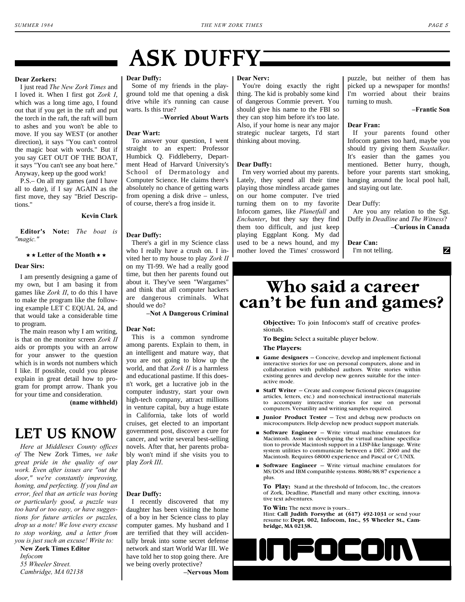# <span id="page-4-0"></span>**ASK DUFFY**

#### **Dear Zorkers:**

I just read *The New Zork Times* and I loved it. When I first got *Zork I*, which was a long time ago, I found out that if you get in the raft and put the torch in the raft, the raft will burn to ashes and you won't be able to move. If you say WEST (or another direction), it says "You can't control the magic boat with words." But if you say GET OUT OF THE BOAT, it says "You can't see any boat here." Anyway, keep up the good work!

P.S.– On all my games (and I have all to date), if I say AGAIN as the first move, they say "Brief Descriptions."

## **Kevin Clark**

**Editor's Note:** *The boat is "magic."*

#### $\star$  **k** Letter of the Month  $\star$   $\star$

#### **Dear Sirs:**

I am presently designing a game of my own, but I am basing it from games like *Zork II*, to do this I have to make the program like the following example LET C EQUAL 24, and that would take a considerable time to program.

The main reason why I am writing, is that on the monitor screen *Zork II* aids or prompts you with an arrow for your answer to the question which is in words not numbers which I like. If possible, could you please explain in great detail how to program for prompt arrow. Thank you for your time and consideration.

**(name withheld)**

# **LET US KNOW**

*Here at Middlesex County offices of* The New Zork Times, *we take great pride in the quality of our work. Even after issues are "out the door," we're constantly improving, honing, and perfecting. If you find an error, feel that an article was boring or particularly good, a puzzle was too hard or too easy, or have suggestions for future articles or puzzles, drop us a note! We love every excuse to stop working, and a letter from you is just such an excuse! Write to:*

**New Zork Times Editor** *Infocom 55 Wheeler Street. Cambridge, MA 02138*

### **Dear Duffy:**

Some of my friends in the playground told me that opening a disk drive while it's running can cause warts. Is this true?

**–Worried About Warts**

### **Dear Wart:**

To answer your question, I went straight to an expert: Professor Humbick Q. Fiddleberry, Department Head of Harvard University's School of Dermatology and Computer Science. He claims there's absolutely no chance of getting warts from opening a disk drive – unless, of course, there's a frog inside it.

#### **Dear Duffy:**

There's a girl in my Science class who I really have a crush on. I invited her to my house to play *Zork II* on my TI-99. We had a really good time, but then her parents found out about it. They've seen "Wargames" and think that all computer hackers are dangerous criminals. What should we do?

### **–Not A Dangerous Criminal**

#### **Dear Not:**

This is a common syndrome among parents. Explain to them, in an intelligent and mature way, that you are not going to blow up the world, and that *Zork II* is a harmless and educational pastime. If this doesn't work, get a lucrative job in the computer industry, start your own high-tech company, attract millions in venture capital, buy a huge estate in California, take lots of world cruises, get elected to an important government post, discover a cure for cancer, and write several best-selling novels. After that, her parents probably won't mind if she visits you to play *Zork III*.

### **Dear Duffy:**

I recently discovered that my daughter has been visiting the home of a boy in her Science class to play computer games. My husband and I are terrified that they will accidentally break into some secret defense network and start World War III. We have told her to stop going there. Are we being overly protective?

**–Nervous Mom**

#### **Dear Nerv:**

You're doing exactly the right thing. The kid is probably some kind of dangerous Commie prevert. You should give his name to the FBI so they can stop him before it's too late. Also, if your home is near any major strategic nuclear targets, I'd start thinking about moving.

#### **Dear Duffy:**

I'm very worried about my parents. Lately, they spend all their time playing those mindless arcade games on our home computer. I've tried turning them on to my favorite Infocom games, like *Planetfall* and *Enchanter*, but they say they find them too difficult, and just keep playing Eggplant Kong. My dad used to be a news hound, and my mother loved the Times' crossword puzzle, but neither of them has picked up a newspaper for months! I'm worried about their brains turning to mush.

#### **–Frantic Son**

Z

#### **Dear Fran:**

If your parents found other Infocom games too hard, maybe you should try giving them *Seastalker*. It's easier than the games you mentioned. Better hurry, though, before your parents start smoking, hanging around the local pool hall, and staying out late.

#### Dear Duffy:

Are you any relation to the Sgt. Duffy in *Deadline* and *The Witness*? **–Curious in Canada**

**Dear Can:** I'm not telling.

# **Who said a career can't be fun and games?**

**Objective:** To join Infocom's staff of creative professionals.

**To Begin:** Select a suitable player below.

- **The Players:**
- **■** Game designers Conceive, develop and implement fictional interactive stories for use on personal computers, alone and in collaboration with published authors. Write stories within existing genres and develop new genres suitable for the interactive mode.
- **+ Staff Writer** Create and compose fictional pieces (magazine articles, letters, etc.) and non-technical instructional materials to accompany interactive stories for use on personal computers. Versatility and writing samples required.
- $\blacksquare$  **Junior Product Tester** Test and debug new products on microcomputers. Help develop new product support materials.
- **+ Software Engineer** Write virtual machine emulators for Macintosh. Assist in developing the virtual machine specification to provide Macintosh support in a LISP-like language. Write system utilities to communicate between a DEC 2060 and the Macintosh. Requires 68000 experience and Pascal or C/UNIX.
- $\blacksquare$  **Software Engineer** Write virtual machine emulators for MS/DOS and IBM compatible systems. 8086/88/87 experience a plus.

**To Play:** Stand at the threshold of Infocom, Inc., the creators of Zork, Deadline, Planetfall and many other exciting, innovative text adventures.

**To Win:** The next move is yours...

Hint: **Call Judith Forsythe at (617) 492-1031** or send your resume to: **Dept. 002, Infocom, Inc., 55 Wheeler St., Cambridge, MA 02138.**

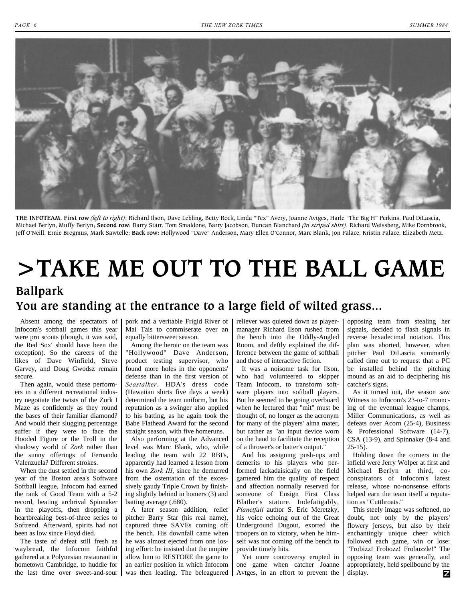<span id="page-5-0"></span>

**THE INFOTEAM. First row** *(left to right)*: Richard Ilson, Dave Lebling, Betty Rock, Linda "Tex" Avery, Joanne Avtges, Harle "The Big H" Perkins, Paul DiLascia, Michael Berlyn, Muffy Berlyn; **Second row:** Barry Starr, Tom Smaldone, Barry Jacobson, Duncan Blanchard *(in striped shirt)*, Richard Weissberg, Mike Dornbrook, Jeff O'Neill, Ernie Brogmus, Mark Sawtelle; **Back row:** Hollywood "Dave" Anderson, Mary Ellen O'Connor, Marc Blank, Jon Palace, Kristin Palace, Elizabeth Metz.

# **>TAKE ME OUT TO THE BALL GAME Ballpark You are standing at the entrance to a large field of wilted grass...**

Absent among the spectators of Infocom's softball games this year were pro scouts (though, it was said, the Red Sox' should have been the exception). So the careers of the likes of Dave Winfield, Steve Garvey, and Doug Gwodsz remain secure.

Then again, would these performers in a different recreational industry negotiate the twists of the Zork I Maze as confidently as they round the bases of their familiar diamond? And would their slugging percentage suffer if they were to face the Hooded Figure or the Troll in the shadowy world of *Zork* rather than the sunny offerings of Fernando Valenzuela? Different strokes.

When the dust settled in the second year of the Boston area's Software Softball league, Infocom had earned the rank of Good Team with a 5-2 record, beating archrival Spinnaker in the playoffs, then dropping a heartbreaking best-of-three series to Softrend. Afterward, spirits had not been as low since Floyd died.

The taste of defeat still fresh as waybread, the Infocom faithful gathered at a Polynesian restaurant in hometown Cambridge, to huddle for

pork and a veritable Frigid River of Mai Tais to commiserate over an equally bittersweet season.

Among the heroic on the team was "Hollywood" Dave Anderson, product testing supervisor, who found more holes in the opponents' defense than in the first version of *Seastalker*. HDA's dress code (Hawaiian shirts five days a week) determined the team uniform, but his reputation as a swinger also applied to his batting, as he again took the Babe Flathead Award for the second straight season, with five homeruns.

Also performing at the Advanced level was Marc Blank, who, while leading the team with 22 RBI's, apparently had learned a lesson from his own *Zork III*, since he demurred from the ostentation of the excessively gaudy Triple Crown by finishing slightly behind in homers (3) and batting average (.680).

the last time over sweet-and-sour was then leading. The beleaguered Avtges, in an effort to prevent the A later season addition, relief pitcher Barry Star (his real name), captured three SAVEs coming off the bench. His downfall came when he was almost ejected from one losing effort: he insisted that the umpire allow him to RESTORE the game to an earlier position in which Infocom

reliever was quieted down as playermanager Richard Ilson rushed from the bench into the Oddly-Angled Room, and deftly explained the difference between the game of softball and those of interactive fiction.

It was a noisome task for Ilson, who had volunteered to skipper Team Infocom, to transform software players into softball players. But he seemed to be going overboard when he lectured that "mit" must be thought of, no longer as the acronym for many of the players' alma mater, but rather as "an input device worn on the hand to facilitate the reception of a thrower's or batter's output."

And his assigning push-ups and demerits to his players who performed lackadaisically on the field garnered him the quality of respect and affection normally reserved for someone of Ensign First Class Blather's stature. Indefatigably, *Planetfall* author S. Eric Meretzky, his voice echoing out of the Great Underground Dugout, exorted the troopers on to victory, when he himself was not coming off the bench to provide timely hits.

Yet more controversy erupted in one game when catcher Joanne opposing team from stealing her signals, decided to flash signals in reverse hexadecimal notation. This plan was aborted, however, when pitcher Paul DiLascia summarily called time out to request that a PC be installed behind the pitching mound as an aid to deciphering his catcher's signs.

As it turned out, the season saw Witness to Infocom's 23-to-7 trouncing of the eventual league champs, Miller Communications, as well as defeats over Acorn (25-4), Business & Professional Software (14-7), CSA (13-9), and Spinnaker (8-4 and 25-15).

Holding down the corners in the infield were Jerry Wolper at first and Michael Berlyn at third, coconspirators of Infocom's latest release, whose no-nonsense efforts helped earn the team itself a reputation as "Cutthroats."

This steely image was softened, no doubt, not only by the players' flowery jerseys, but also by their enchantingly unique cheer which followed each game, win or lose: "Frobizz! Frobozz! Frobozzle!" The opposing team was generally, and appropriately, held spellbound by the display. z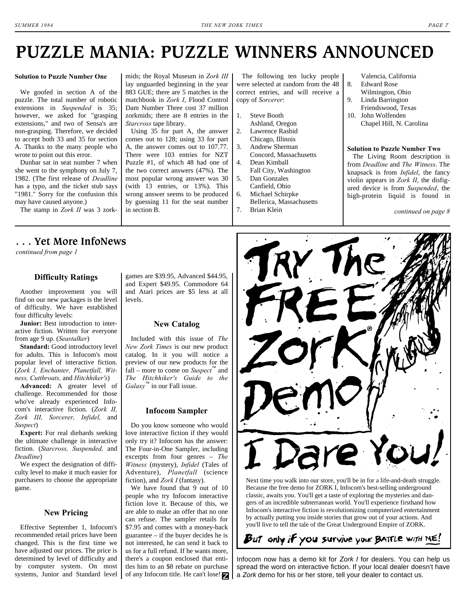# <span id="page-6-0"></span>**PUZZLE MANIA: PUZZLE WINNERS ANNOUNCED**

#### **Solution to Puzzle Number One**

We goofed in section A of the puzzle. The total number of robotic extensions in *Suspended* is 35; however, we asked for "grasping extensions," and two of Sensa's are non-grasping. Therefore, we decided to accept both 33 and 35 for section A. Thanks to the many people who wrote to point out this error.

Dunbar sat in seat number 7 when she went to the symphony on July 7, 1982. (The first release of *Deadline* has a typo, and the ticket stub says "1981." Sorry for the confusion this may have caused anyone.)

The stamp in *Zork II* was 3 zork-

## <span id="page-6-1"></span>**. . . Yet More InfoNews**

*[continued from page 1](#page-0-0)*

### **Difficulty Ratings**

Another improvement you will find on our new packages is the level of difficulty. We have established four difficulty levels:

**Junior:** Best introduction to interactive fiction. Written for everyone from age 9 up. (*Seastalker*)

**Standard:** Good introductory level for adults. This is Infocom's most popular level of interactive fiction. (*Zork I, Enchanter, Planetfall, Witness, Cutthroats,* and *Hitchhiker's*)

**Advanced:** A greater level of challenge. Recommended for those who've already experienced Infocom's interactive fiction. (*Zork II, Zork III, Sorcerer, Infidel,* and *Suspect*)

**Expert:** For real diehards seeking the ultimate challenge in interactive fiction. (*Starcross, Suspended,* and *Deadline*)

We expect the designation of difficulty level to make it much easier for purchasers to choose the appropriate game.

#### **New Pricing**

Effective September 1, Infocom's recommended retail prices have been changed. This is the first time we have adjusted our prices. The price is determined by level of difficulty and by computer system. On most systems, Junior and Standard level games are \$39.95, Advanced \$44.95, and Expert \$49.95. Commodore 64 and Atari prices are \$5 less at all levels.

mids; the Royal Museum in *Zork III* lay unguarded beginning in the year 883 GUE; there are 5 matches in the matchbook in *Zork I*, Flood Control Dam Number Three cost 37 million zorkmids; there are 8 entries in the

Using 35 for part A, the answer comes out to 128; using 33 for part A, the answer comes out to 107.77. There were 103 entries for NZT Puzzle #1, of which 48 had one of the two correct answers (47%). The most popular wrong answer was 30 (with 13 entries, or 13%). This wrong answer seems to be produced by guessing 11 for the seat number

*Starcross* tape library.

in section B.

## **New Catalog**

Included with this issue of *The New Zork Times* is our new product catalog. In it you will notice a preview of our new products for the fall – more to come on *Suspect*™ and *The Hitchhiker's Guide to the Galaxy*™ in our Fall issue.

#### **Infocom Sampler**

Do you know someone who would love interactive fiction if they would only try it? Infocom has the answer: The Four-in-One Sampler, including excerpts from four genres – *The Witness* (mystery), *Infidel* (Tales of Adventure), *Planetfall* (science fiction), and *Zork I* (fantasy).

We have found that 9 out of 10 people who try Infocom interactive fiction love it. Because of this, we are able to make an offer that no one can refuse. The sampler retails for \$7.95 and comes with a money-back guarantee – if the buyer decides he is not interested, he can send it back to us for a full refund. If he wants more, there's a coupon enclosed that entitles him to an \$8 rebate on purchase of any Infocom title. He can't lose!

The following ten lucky people were selected at random from the 48 correct entries, and will receive a copy of *Sorcerer*:

- 1. Steve Booth Ashland, Oregon
- 2. Lawrence Rasbid
- Chicago, Illinois 3. Andrew Sherman
- Concord, Massachusetts 4. Dean Kimball
- Fall City, Washington
- 5. Dan Gonzales Canfield, Ohio
- 6. Michael Schirpke
- Bellerica, Massachusetts 7. Brian Klein

<span id="page-6-2"></span>Valencia, California 8. Edward Rose

- Wilmington, Ohio
- 9. Linda Barrington Friendswood, Texas
- 10. John Wolfenden Chapel Hill, N. Carolina

#### **Solution to Puzzle Number Two**

The Living Room description is from *Deadline* and *The Witness*. The knapsack is from *Infidel*, the fancy violin appears in *Zork II*, the disfigured device is from *Suspended*, the high-protein liquid is found in

*[continued on page 8](#page-7-0)*



Because the free demo for ZORK I, Infocom's best-selling underground classic, awaits you. You'll get a taste of exploring the mysteries and dangers of an incredible subterranean world. You'll experience firsthand how Infocom's interactive fiction is revolutionizing computerized entertainment by actually putting you inside stories that grow out of your actions. And you'll live to tell the tale of the Great Underground Empire of ZORK.

## But only if you survive your BATTLE WITH ME!

Infocom now has a demo kit for *Zork I* for dealers. You can help us spread the word on interactive fiction. If your local dealer doesn't have a *Zork* demo for his or her store, tell your dealer to contact us.